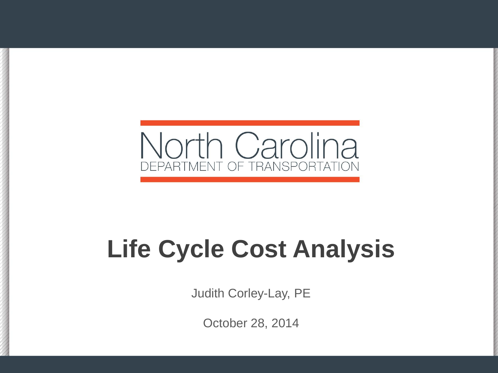

# **Life Cycle Cost Analysis**

Judith Corley-Lay, PE

October 28, 2014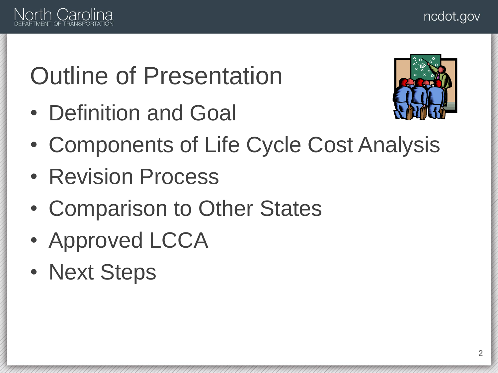

## Outline of Presentation

• Definition and Goal



- Components of Life Cycle Cost Analysis
- Revision Process
- Comparison to Other States
- Approved LCCA
- Next Steps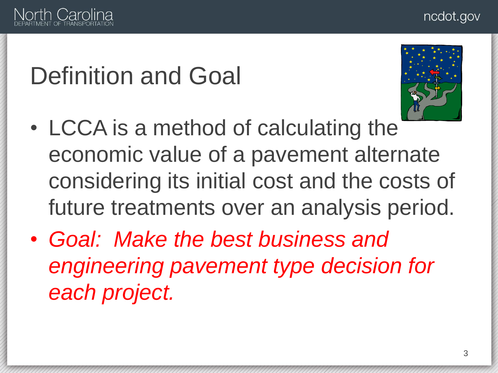

## Definition and Goal



- LCCA is a method of calculating the economic value of a pavement alternate considering its initial cost and the costs of future treatments over an analysis period.
- *Goal: Make the best business and engineering pavement type decision for each project.*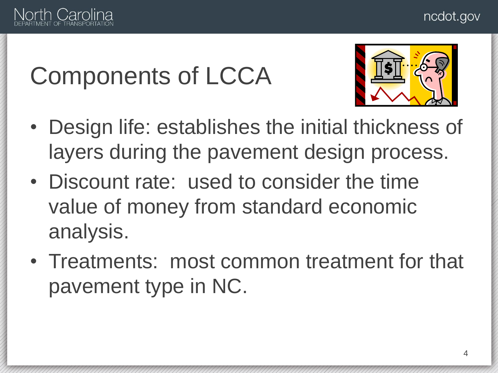

## Components of LCCA



- Design life: establishes the initial thickness of layers during the pavement design process.
- Discount rate: used to consider the time value of money from standard economic analysis.
- Treatments: most common treatment for that pavement type in NC.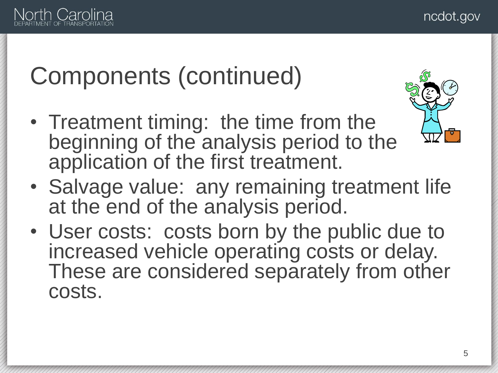

## Components (continued)

• Treatment timing: the time from the beginning of the analysis period to the application of the first treatment.



- Salvage value: any remaining treatment life at the end of the analysis period.
- User costs: costs born by the public due to increased vehicle operating costs or delay. These are considered separately from other costs.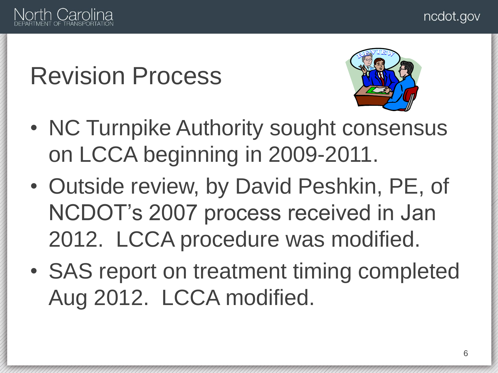

## Revision Process



- NC Turnpike Authority sought consensus on LCCA beginning in 2009-2011.
- Outside review, by David Peshkin, PE, of NCDOT's 2007 process received in Jan 2012. LCCA procedure was modified.
- SAS report on treatment timing completed Aug 2012. LCCA modified.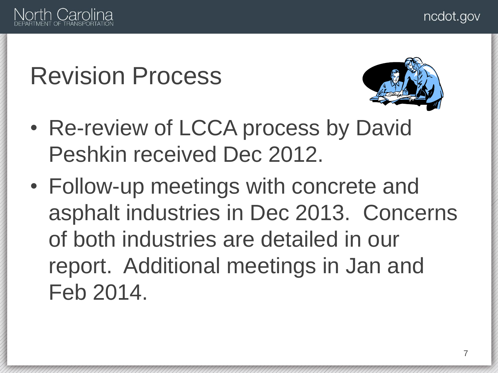

#### Revision Process



- Re-review of LCCA process by David Peshkin received Dec 2012.
- Follow-up meetings with concrete and asphalt industries in Dec 2013. Concerns of both industries are detailed in our report. Additional meetings in Jan and Feb 2014.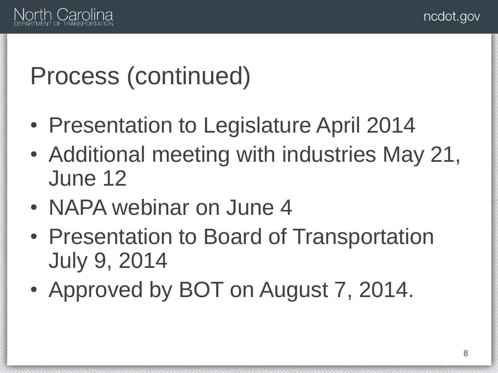

#### Process (continued)

- Presentation to Legislature April 2014
- Additional meeting with industries May 21, June 12
- NAPA webinar on June 4
- Presentation to Board of Transportation July 9, 2014
- Approved by BOT on August 7, 2014.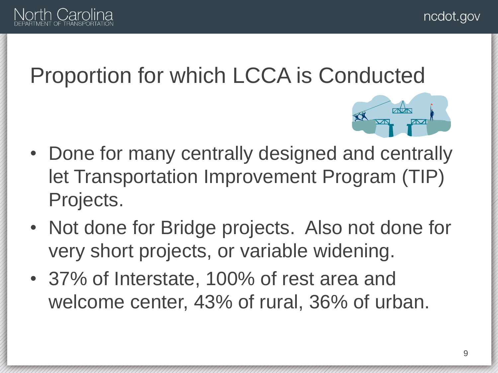

#### Proportion for which LCCA is Conducted



- Done for many centrally designed and centrally let Transportation Improvement Program (TIP) Projects.
- Not done for Bridge projects. Also not done for very short projects, or variable widening.
- 37% of Interstate, 100% of rest area and welcome center, 43% of rural, 36% of urban.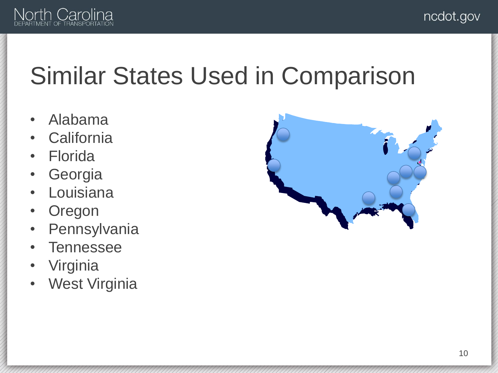

#### Similar States Used in Comparison

- Alabama
- California
- **Florida**
- **Georgia**
- Louisiana
- **Oregon**
- Pennsylvania
- **Tennessee**
- **Virginia**
- West Virginia

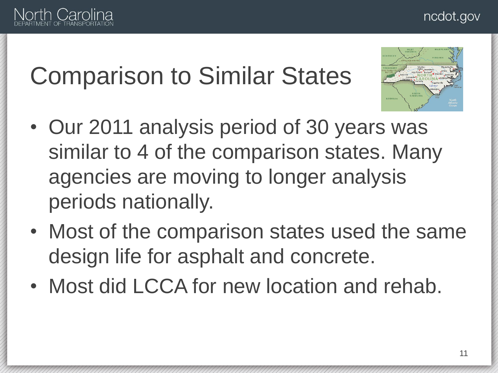#### ncdot.gov



## Comparison to Similar States



- Our 2011 analysis period of 30 years was similar to 4 of the comparison states. Many agencies are moving to longer analysis periods nationally.
- Most of the comparison states used the same design life for asphalt and concrete.
- Most did LCCA for new location and rehab.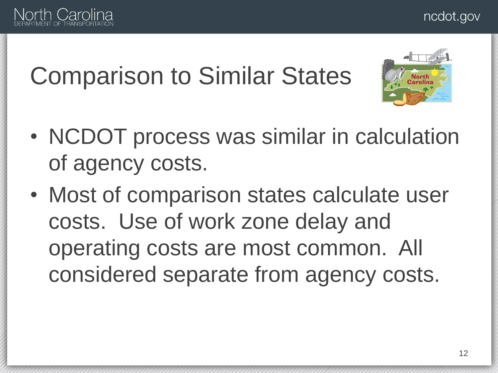

## Comparison to Similar States



- NCDOT process was similar in calculation of agency costs.
- Most of comparison states calculate user costs. Use of work zone delay and operating costs are most common. All considered separate from agency costs.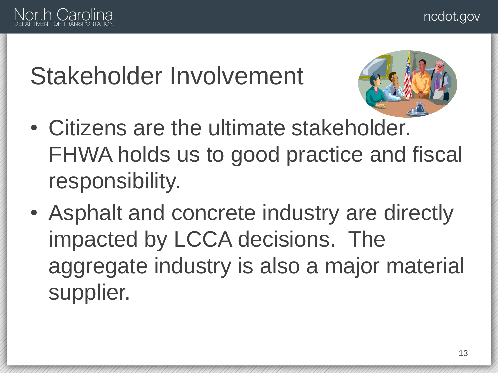

## Stakeholder Involvement



- Citizens are the ultimate stakeholder. FHWA holds us to good practice and fiscal responsibility.
- Asphalt and concrete industry are directly impacted by LCCA decisions. The aggregate industry is also a major material supplier.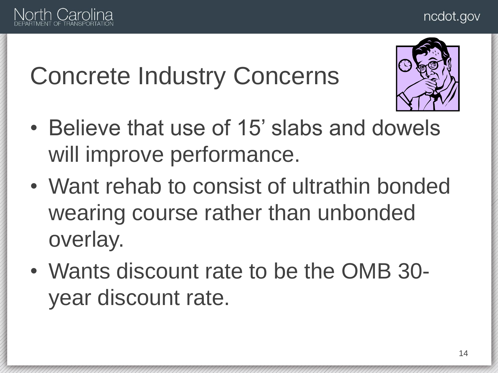#### ncdot.gov



## Concrete Industry Concerns



- Believe that use of 15' slabs and dowels will improve performance.
- Want rehab to consist of ultrathin bonded wearing course rather than unbonded overlay.
- Wants discount rate to be the OMB 30 year discount rate.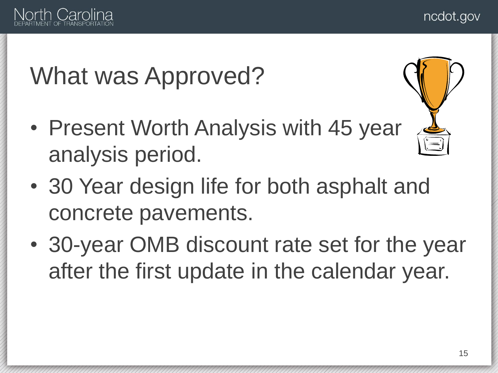

## What was Approved?

- Present Worth Analysis with 45 year analysis period.
- 30 Year design life for both asphalt and concrete pavements.
- 30-year OMB discount rate set for the year after the first update in the calendar year.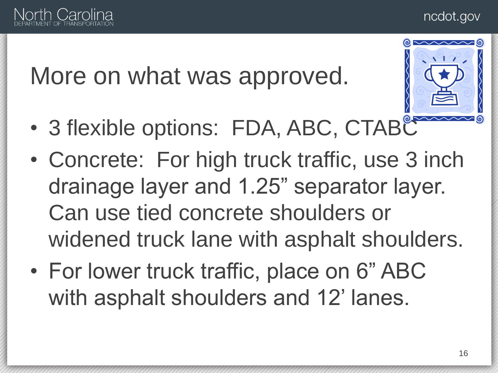

#### More on what was approved.



- 3 flexible options: FDA, ABC, CTABC
- Concrete: For high truck traffic, use 3 inch drainage layer and 1.25" separator layer. Can use tied concrete shoulders or widened truck lane with asphalt shoulders.
- For lower truck traffic, place on 6" ABC with asphalt shoulders and 12' lanes.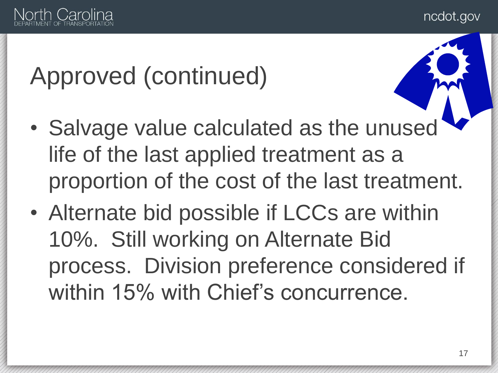ncdot.gov



## Approved (continued)

- Salvage value calculated as the unused life of the last applied treatment as a proportion of the cost of the last treatment.
- Alternate bid possible if LCCs are within 10%. Still working on Alternate Bid process. Division preference considered if within 15% with Chief's concurrence.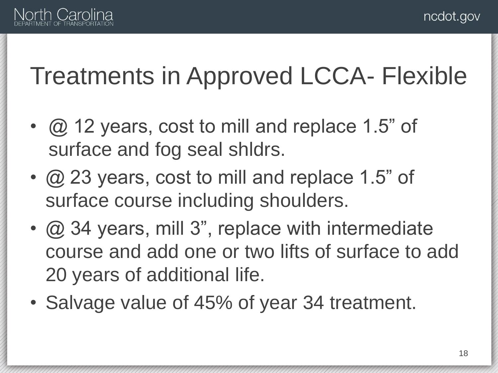

## Treatments in Approved LCCA- Flexible

- @ 12 years, cost to mill and replace 1.5" of surface and fog seal shldrs.
- @ 23 years, cost to mill and replace 1.5" of surface course including shoulders.
- @ 34 years, mill 3", replace with intermediate course and add one or two lifts of surface to add 20 years of additional life.
- Salvage value of 45% of year 34 treatment.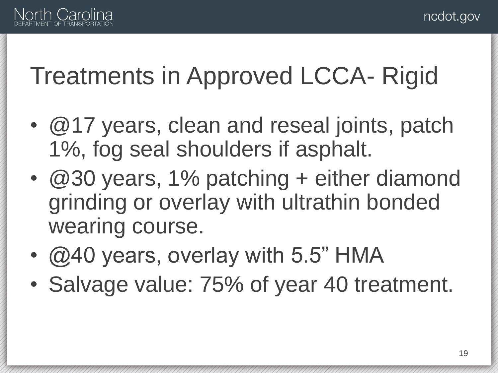

## Treatments in Approved LCCA- Rigid

- @17 years, clean and reseal joints, patch 1%, fog seal shoulders if asphalt.
- $@30$  years, 1% patching + either diamond grinding or overlay with ultrathin bonded wearing course.
- @40 years, overlay with 5.5" HMA
- Salvage value: 75% of year 40 treatment.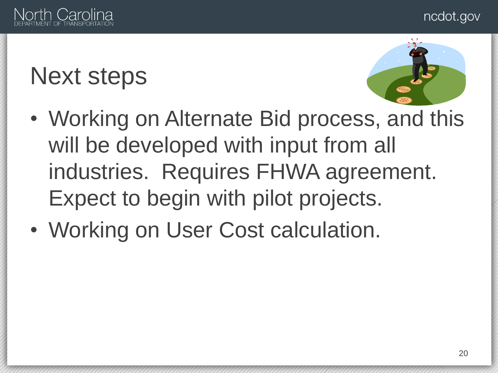

#### Next steps



- Working on Alternate Bid process, and this will be developed with input from all industries. Requires FHWA agreement. Expect to begin with pilot projects.
- Working on User Cost calculation.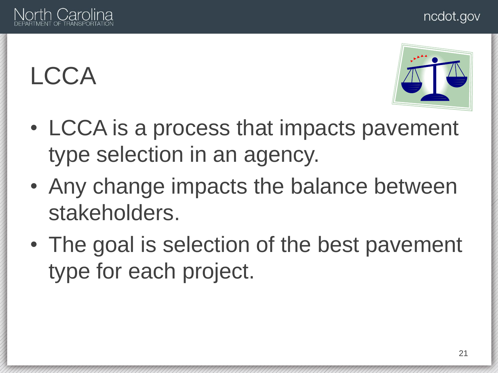#### ncdot.gov

## LCCA

- LCCA is a process that impacts pavement type selection in an agency.
- Any change impacts the balance between stakeholders.
- The goal is selection of the best pavement type for each project.